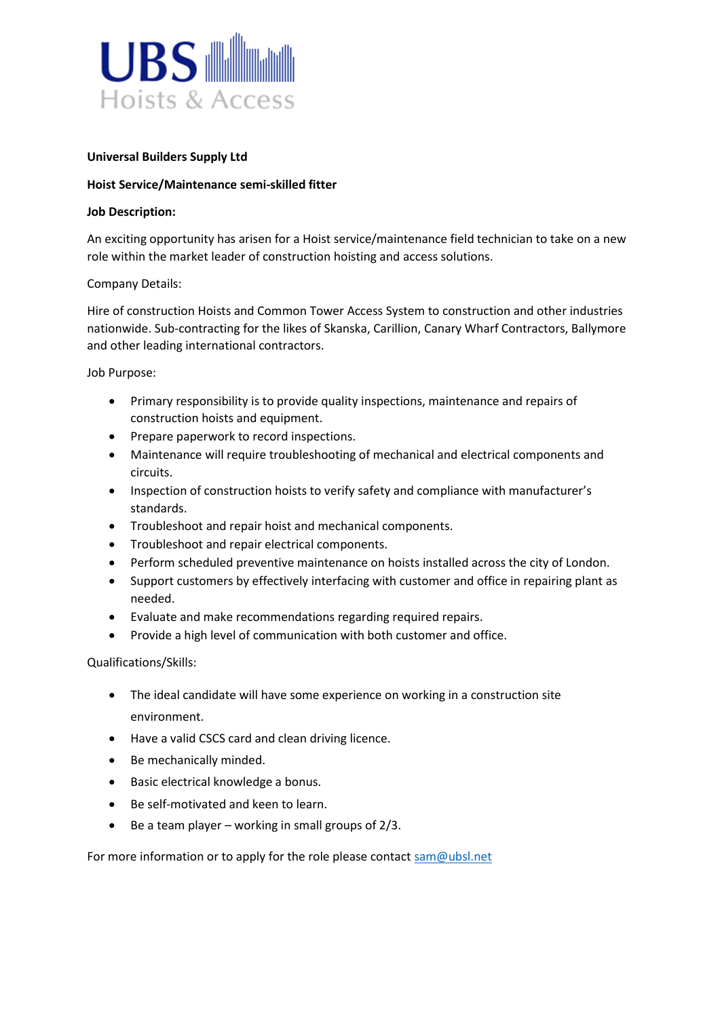

## **Universal Builders Supply Ltd**

## **Hoist Service/Maintenance semi-skilled fitter**

## **Job Description:**

An exciting opportunity has arisen for a Hoist service/maintenance field technician to take on a new role within the market leader of construction hoisting and access solutions.

## Company Details:

Hire of construction Hoists and Common Tower Access System to construction and other industries nationwide. Sub-contracting for the likes of Skanska, Carillion, Canary Wharf Contractors, Ballymore and other leading international contractors.

Job Purpose:

- Primary responsibility is to provide quality inspections, maintenance and repairs of construction hoists and equipment.
- Prepare paperwork to record inspections.
- Maintenance will require troubleshooting of mechanical and electrical components and circuits.
- Inspection of construction hoists to verify safety and compliance with manufacturer's standards.
- Troubleshoot and repair hoist and mechanical components.
- Troubleshoot and repair electrical components.
- Perform scheduled preventive maintenance on hoists installed across the city of London.
- Support customers by effectively interfacing with customer and office in repairing plant as needed.
- Evaluate and make recommendations regarding required repairs.
- Provide a high level of communication with both customer and office.

Qualifications/Skills:

- The ideal candidate will have some experience on working in a construction site environment.
- Have a valid CSCS card and clean driving licence.
- Be mechanically minded.
- Basic electrical knowledge a bonus.
- Be self-motivated and keen to learn.
- $\bullet$  Be a team player working in small groups of 2/3.

For more information or to apply for the role please contac[t sam@ubsl.net](mailto:sam@ubsl.net)